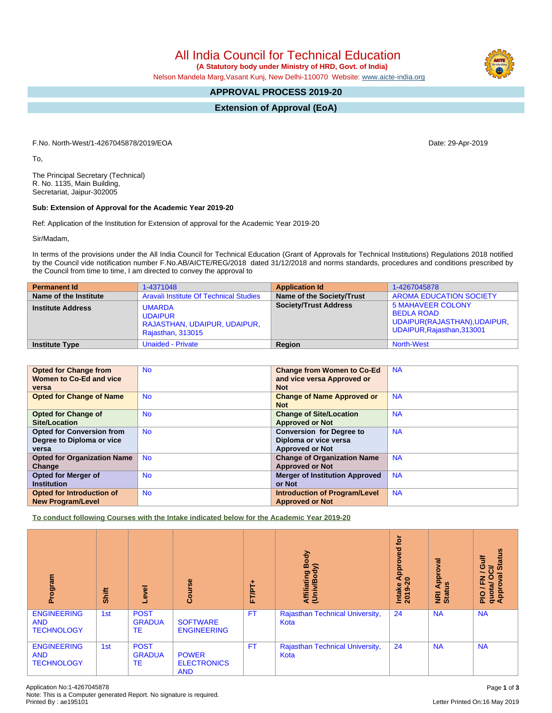All India Council for Technical Education

 **(A Statutory body under Ministry of HRD, Govt. of India)**

Nelson Mandela Marg,Vasant Kunj, New Delhi-110070 Website: [www.aicte-india.org](http://www.aicte-india.org)

# **APPROVAL PROCESS 2019-20**

**Extension of Approval (EoA)**

F.No. North-West/1-4267045878/2019/EOA Date: 29-Apr-2019

To,

The Principal Secretary (Technical) R. No. 1135, Main Building, Secretariat, Jaipur-302005

## **Sub: Extension of Approval for the Academic Year 2019-20**

Ref: Application of the Institution for Extension of approval for the Academic Year 2019-20

Sir/Madam,

In terms of the provisions under the All India Council for Technical Education (Grant of Approvals for Technical Institutions) Regulations 2018 notified by the Council vide notification number F.No.AB/AICTE/REG/2018 dated 31/12/2018 and norms standards, procedures and conditions prescribed by the Council from time to time, I am directed to convey the approval to

| <b>Permanent Id</b>      | 1-4371048                                                                            | <b>Application Id</b>        | 1-4267045878                                                                                                |
|--------------------------|--------------------------------------------------------------------------------------|------------------------------|-------------------------------------------------------------------------------------------------------------|
| Name of the Institute    | Aravali Institute Of Technical Studies                                               | Name of the Society/Trust    | <b>AROMA EDUCATION SOCIETY</b>                                                                              |
| <b>Institute Address</b> | <b>UMARDA</b><br><b>UDAIPUR</b><br>RAJASTHAN, UDAIPUR, UDAIPUR,<br>Rajasthan, 313015 | <b>Society/Trust Address</b> | <b>5 MAHAVEER COLONY</b><br><b>BEDLA ROAD</b><br>UDAIPUR(RAJASTHAN), UDAIPUR,<br>UDAIPUR, Rajasthan, 313001 |
| <b>Institute Type</b>    | Unaided - Private                                                                    | Region                       | <b>North-West</b>                                                                                           |

| <b>Opted for Change from</b><br>Women to Co-Ed and vice<br>versa       | <b>No</b> | <b>Change from Women to Co-Ed</b><br>and vice versa Approved or<br><b>Not</b>      | <b>NA</b> |
|------------------------------------------------------------------------|-----------|------------------------------------------------------------------------------------|-----------|
| <b>Opted for Change of Name</b>                                        | <b>No</b> | <b>Change of Name Approved or</b><br><b>Not</b>                                    | <b>NA</b> |
| <b>Opted for Change of</b><br>Site/Location                            | <b>No</b> | <b>Change of Site/Location</b><br><b>Approved or Not</b>                           | <b>NA</b> |
| <b>Opted for Conversion from</b><br>Degree to Diploma or vice<br>versa | <b>No</b> | <b>Conversion for Degree to</b><br>Diploma or vice versa<br><b>Approved or Not</b> | <b>NA</b> |
| <b>Opted for Organization Name</b><br>Change                           | <b>No</b> | <b>Change of Organization Name</b><br><b>Approved or Not</b>                       | <b>NA</b> |
| <b>Opted for Merger of</b><br><b>Institution</b>                       | <b>No</b> | <b>Merger of Institution Approved</b><br>or Not                                    | <b>NA</b> |
| Opted for Introduction of<br><b>New Program/Level</b>                  | <b>No</b> | <b>Introduction of Program/Level</b><br><b>Approved or Not</b>                     | <b>NA</b> |

**To conduct following Courses with the Intake indicated below for the Academic Year 2019-20**

| Program                                               | Shift | Level                              | Course                                           | FT/PT+    | Body<br>⋦<br>Affiliating<br>ě<br>(Univ) | <b>b</b><br>yed<br>pro<br>ᅙ<br>∢<br>$\circ$<br>Intake<br>2019-2 | pproval<br>9<br>∢<br>NRI<br>Statu | <b>Status</b><br><b>Jire</b><br>ಕ<br>∽<br>ड़<br>준<br>O<br>quota/<br>Approv<br>∽<br>$\frac{1}{2}$ |
|-------------------------------------------------------|-------|------------------------------------|--------------------------------------------------|-----------|-----------------------------------------|-----------------------------------------------------------------|-----------------------------------|--------------------------------------------------------------------------------------------------|
| <b>ENGINEERING</b><br><b>AND</b><br><b>TECHNOLOGY</b> | 1st   | <b>POST</b><br><b>GRADUA</b><br>TE | <b>SOFTWARE</b><br><b>ENGINEERING</b>            | <b>FT</b> | Rajasthan Technical University,<br>Kota | 24                                                              | <b>NA</b>                         | <b>NA</b>                                                                                        |
| <b>ENGINEERING</b><br><b>AND</b><br><b>TECHNOLOGY</b> | 1st   | <b>POST</b><br><b>GRADUA</b><br>TE | <b>POWER</b><br><b>ELECTRONICS</b><br><b>AND</b> | <b>FT</b> | Rajasthan Technical University,<br>Kota | 24                                                              | <b>NA</b>                         | <b>NA</b>                                                                                        |

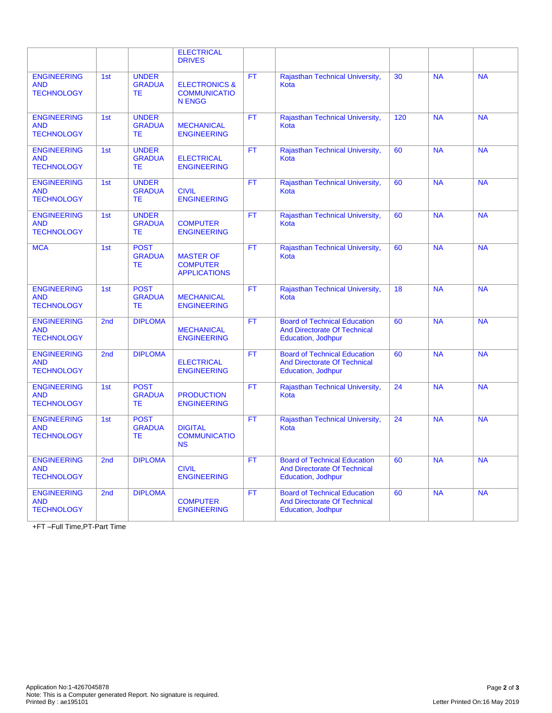|                                                       |                 |                                            | <b>ELECTRICAL</b><br><b>DRIVES</b>                               |           |                                                                                                         |     |           |           |
|-------------------------------------------------------|-----------------|--------------------------------------------|------------------------------------------------------------------|-----------|---------------------------------------------------------------------------------------------------------|-----|-----------|-----------|
| <b>ENGINEERING</b><br><b>AND</b><br><b>TECHNOLOGY</b> | 1st             | <b>UNDER</b><br><b>GRADUA</b><br><b>TE</b> | <b>ELECTRONICS &amp;</b><br><b>COMMUNICATIO</b><br><b>N ENGG</b> | <b>FT</b> | Rajasthan Technical University,<br>Kota                                                                 | 30  | <b>NA</b> | <b>NA</b> |
| <b>ENGINEERING</b><br><b>AND</b><br><b>TECHNOLOGY</b> | 1st             | <b>UNDER</b><br><b>GRADUA</b><br>TE.       | <b>MECHANICAL</b><br><b>ENGINEERING</b>                          | FT        | Rajasthan Technical University,<br>Kota                                                                 | 120 | <b>NA</b> | <b>NA</b> |
| <b>ENGINEERING</b><br><b>AND</b><br><b>TECHNOLOGY</b> | 1st             | <b>UNDER</b><br><b>GRADUA</b><br>TE.       | <b>ELECTRICAL</b><br><b>ENGINEERING</b>                          | <b>FT</b> | Rajasthan Technical University,<br>Kota                                                                 | 60  | <b>NA</b> | <b>NA</b> |
| <b>ENGINEERING</b><br><b>AND</b><br><b>TECHNOLOGY</b> | 1st             | <b>UNDER</b><br><b>GRADUA</b><br>TE.       | <b>CIVIL</b><br><b>ENGINEERING</b>                               | <b>FT</b> | Rajasthan Technical University,<br>Kota                                                                 | 60  | <b>NA</b> | <b>NA</b> |
| <b>ENGINEERING</b><br><b>AND</b><br><b>TECHNOLOGY</b> | 1st             | <b>UNDER</b><br><b>GRADUA</b><br>TE.       | <b>COMPUTER</b><br><b>ENGINEERING</b>                            | <b>FT</b> | Rajasthan Technical University,<br>Kota                                                                 | 60  | <b>NA</b> | <b>NA</b> |
| <b>MCA</b>                                            | 1st             | <b>POST</b><br><b>GRADUA</b><br>TE.        | <b>MASTER OF</b><br><b>COMPUTER</b><br><b>APPLICATIONS</b>       | <b>FT</b> | Rajasthan Technical University,<br>Kota                                                                 | 60  | <b>NA</b> | <b>NA</b> |
| <b>ENGINEERING</b><br><b>AND</b><br><b>TECHNOLOGY</b> | 1st             | <b>POST</b><br><b>GRADUA</b><br><b>TE</b>  | <b>MECHANICAL</b><br><b>ENGINEERING</b>                          | <b>FT</b> | Rajasthan Technical University,<br>Kota                                                                 | 18  | <b>NA</b> | <b>NA</b> |
| <b>ENGINEERING</b><br><b>AND</b><br><b>TECHNOLOGY</b> | 2 <sub>nd</sub> | <b>DIPLOMA</b>                             | <b>MECHANICAL</b><br><b>ENGINEERING</b>                          | <b>FT</b> | <b>Board of Technical Education</b><br><b>And Directorate Of Technical</b><br>Education, Jodhpur        | 60  | <b>NA</b> | <b>NA</b> |
| <b>ENGINEERING</b><br><b>AND</b><br><b>TECHNOLOGY</b> | 2nd             | <b>DIPLOMA</b>                             | <b>ELECTRICAL</b><br><b>ENGINEERING</b>                          | <b>FT</b> | <b>Board of Technical Education</b><br><b>And Directorate Of Technical</b><br>Education, Jodhpur        | 60  | <b>NA</b> | <b>NA</b> |
| <b>ENGINEERING</b><br><b>AND</b><br><b>TECHNOLOGY</b> | 1st             | <b>POST</b><br><b>GRADUA</b><br><b>TE</b>  | <b>PRODUCTION</b><br><b>ENGINEERING</b>                          | <b>FT</b> | Rajasthan Technical University,<br>Kota                                                                 | 24  | <b>NA</b> | <b>NA</b> |
| <b>ENGINEERING</b><br><b>AND</b><br><b>TECHNOLOGY</b> | 1st             | <b>POST</b><br><b>GRADUA</b><br>TE         | <b>DIGITAL</b><br><b>COMMUNICATIO</b><br><b>NS</b>               | <b>FT</b> | Rajasthan Technical University,<br>Kota                                                                 | 24  | <b>NA</b> | <b>NA</b> |
| <b>ENGINEERING</b><br><b>AND</b><br><b>TECHNOLOGY</b> | 2 <sub>nd</sub> | <b>DIPLOMA</b>                             | <b>CIVIL</b><br><b>ENGINEERING</b>                               | <b>FT</b> | <b>Board of Technical Education</b><br><b>And Directorate Of Technical</b><br><b>Education, Jodhpur</b> | 60  | <b>NA</b> | <b>NA</b> |
| <b>ENGINEERING</b><br><b>AND</b><br><b>TECHNOLOGY</b> | 2nd             | <b>DIPLOMA</b>                             | <b>COMPUTER</b><br><b>ENGINEERING</b>                            | <b>FT</b> | <b>Board of Technical Education</b><br><b>And Directorate Of Technical</b><br>Education, Jodhpur        | 60  | <b>NA</b> | <b>NA</b> |

+FT –Full Time,PT-Part Time